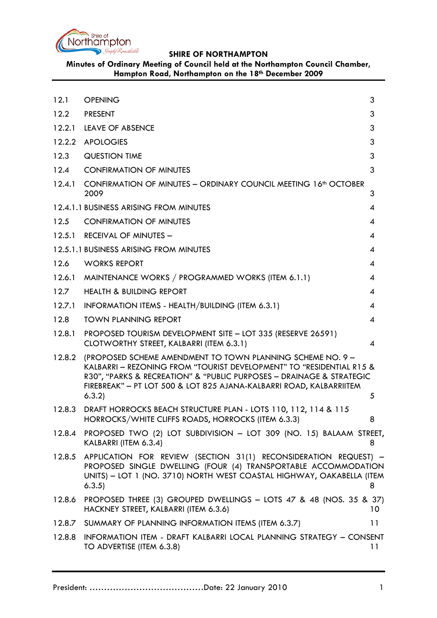

**Minutes of Ordinary Meeting of Council held at the Northampton Council Chamber, Hampton Road, Northampton on the 18th December 2009**

<span id="page-0-0"></span>

| 12.1   | <b>OPENING</b>                                                                                                                                                                                                                                                                             | 3               |
|--------|--------------------------------------------------------------------------------------------------------------------------------------------------------------------------------------------------------------------------------------------------------------------------------------------|-----------------|
| 12.2   | <b>PRESENT</b>                                                                                                                                                                                                                                                                             | 3               |
| 12.2.1 | <b>LEAVE OF ABSENCE</b>                                                                                                                                                                                                                                                                    | 3               |
| 12.2.2 | <b>APOLOGIES</b>                                                                                                                                                                                                                                                                           | 3               |
| 12.3   | <b>QUESTION TIME</b>                                                                                                                                                                                                                                                                       | 3               |
| 12.4   | <b>CONFIRMATION OF MINUTES</b>                                                                                                                                                                                                                                                             | 3               |
| 12.4.1 | CONFIRMATION OF MINUTES - ORDINARY COUNCIL MEETING 16 <sup>th</sup> OCTOBER<br>2009                                                                                                                                                                                                        | 3               |
|        | 12.4.1.1 BUSINESS ARISING FROM MINUTES                                                                                                                                                                                                                                                     | 4               |
| 12.5   | <b>CONFIRMATION OF MINUTES</b>                                                                                                                                                                                                                                                             | 4               |
| 12.5.1 | <b>RECEIVAL OF MINUTES -</b>                                                                                                                                                                                                                                                               | 4               |
|        | 12.5.1.1 BUSINESS ARISING FROM MINUTES                                                                                                                                                                                                                                                     | 4               |
| 12.6   | <b>WORKS REPORT</b>                                                                                                                                                                                                                                                                        | 4               |
| 12.6.1 | MAINTENANCE WORKS / PROGRAMMED WORKS (ITEM 6.1.1)                                                                                                                                                                                                                                          | 4               |
| 12.7   | <b>HEALTH &amp; BUILDING REPORT</b>                                                                                                                                                                                                                                                        | 4               |
| 12.7.1 | INFORMATION ITEMS - HEALTH/BUILDING (ITEM 6.3.1)                                                                                                                                                                                                                                           | 4               |
| 12.8   | <b>TOWN PLANNING REPORT</b>                                                                                                                                                                                                                                                                | 4               |
| 12.8.1 | PROPOSED TOURISM DEVELOPMENT SITE - LOT 335 (RESERVE 26591)<br>CLOTWORTHY STREET, KALBARRI (ITEM 6.3.1)                                                                                                                                                                                    | 4               |
| 12.8.2 | (PROPOSED SCHEME AMENDMENT TO TOWN PLANNING SCHEME NO. 9 -<br>KALBARRI - REZONING FROM "TOURIST DEVELOPMENT" TO "RESIDENTIAL R15 &<br>R30", "PARKS & RECREATION" & "PUBLIC PURPOSES - DRAINAGE & STRATEGIC<br>FIREBREAK" - PT LOT 500 & LOT 825 AJANA-KALBARRI ROAD, KALBARRIITEM<br>6.3.2 | 5               |
|        | 12.8.3 DRAFT HORROCKS BEACH STRUCTURE PLAN - LOTS 110, 112, 114 & 115<br>HORROCKS/WHITE CLIFFS ROADS, HORROCKS (ITEM 6.3.3)                                                                                                                                                                | 8               |
| 12.8.4 | PROPOSED TWO (2) LOT SUBDIVISION - LOT 309 (NO. 15) BALAAM STREET,<br>KALBARRI (ITEM 6.3.4)                                                                                                                                                                                                | 8               |
| 12.8.5 | APPLICATION FOR REVIEW (SECTION 31(1) RECONSIDERATION REQUEST) -<br>PROPOSED SINGLE DWELLING (FOUR (4) TRANSPORTABLE ACCOMMODATION<br>UNITS) - LOT 1 (NO. 3710) NORTH WEST COASTAL HIGHWAY, OAKABELLA (ITEM<br>6.3.5)                                                                      | 8               |
| 12.8.6 | PROPOSED THREE (3) GROUPED DWELLINGS - LOTS 47 & 48 (NOS. 35 & 37)<br>HACKNEY STREET, KALBARRI (ITEM 6.3.6)                                                                                                                                                                                | 10 <sup>°</sup> |
|        | 12.8.7 SUMMARY OF PLANNING INFORMATION ITEMS (ITEM 6.3.7)                                                                                                                                                                                                                                  | 11              |
| 12.8.8 | INFORMATION ITEM - DRAFT KALBARRI LOCAL PLANNING STRATEGY - CONSENT<br>TO ADVERTISE (ITEM 6.3.8)                                                                                                                                                                                           | 11              |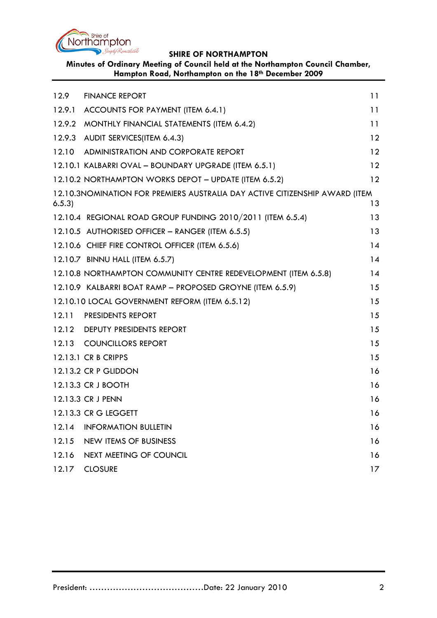

**Minutes of Ordinary Meeting of Council held at the Northampton Council Chamber, Hampton Road, Northampton on the 18th December 2009**

| 12.9   | <b>FINANCE REPORT</b>                                                       | 11 |
|--------|-----------------------------------------------------------------------------|----|
| 12.9.1 | ACCOUNTS FOR PAYMENT (ITEM 6.4.1)                                           | 11 |
| 12.9.2 | MONTHLY FINANCIAL STATEMENTS (ITEM 6.4.2)                                   | 11 |
| 12.9.3 | AUDIT SERVICES(ITEM 6.4.3)                                                  | 12 |
| 12.10  | ADMINISTRATION AND CORPORATE REPORT                                         | 12 |
|        | 12.10.1 KALBARRI OVAL - BOUNDARY UPGRADE (ITEM 6.5.1)                       | 12 |
|        | 12.10.2 NORTHAMPTON WORKS DEPOT - UPDATE (ITEM 6.5.2)                       | 12 |
| 6.5.3  | 12.10.3NOMINATION FOR PREMIERS AUSTRALIA DAY ACTIVE CITIZENSHIP AWARD (ITEM | 13 |
|        | 12.10.4 REGIONAL ROAD GROUP FUNDING 2010/2011 (ITEM 6.5.4)                  | 13 |
|        | 12.10.5 AUTHORISED OFFICER - RANGER (ITEM 6.5.5)                            | 13 |
|        | 12.10.6 CHIEF FIRE CONTROL OFFICER (ITEM 6.5.6)                             | 14 |
|        | 12.10.7 BINNU HALL (ITEM 6.5.7)                                             | 14 |
|        | 12.10.8 NORTHAMPTON COMMUNITY CENTRE REDEVELOPMENT (ITEM 6.5.8)             | 14 |
|        | 12.10.9 KALBARRI BOAT RAMP - PROPOSED GROYNE (ITEM 6.5.9)                   | 15 |
|        | 12.10.10 LOCAL GOVERNMENT REFORM (ITEM 6.5.12)                              | 15 |
| 12.11  | <b>PRESIDENTS REPORT</b>                                                    | 15 |
|        | 12.12 DEPUTY PRESIDENTS REPORT                                              | 15 |
|        | 12.13 COUNCILLORS REPORT                                                    | 15 |
|        | 12.13.1 CR B CRIPPS                                                         | 15 |
|        | 12.13.2 CR P GLIDDON                                                        | 16 |
|        | 12.13.3 CR J BOOTH                                                          | 16 |
|        | 12.13.3 CR J PENN                                                           | 16 |
|        | 12.13.3 CR G LEGGETT                                                        | 16 |
| 12.14  | <b>INFORMATION BULLETIN</b>                                                 | 16 |
| 12.15  | <b>NEW ITEMS OF BUSINESS</b>                                                | 16 |
| 12.16  | NEXT MEETING OF COUNCIL                                                     | 16 |
| 12.17  | <b>CLOSURE</b>                                                              | 17 |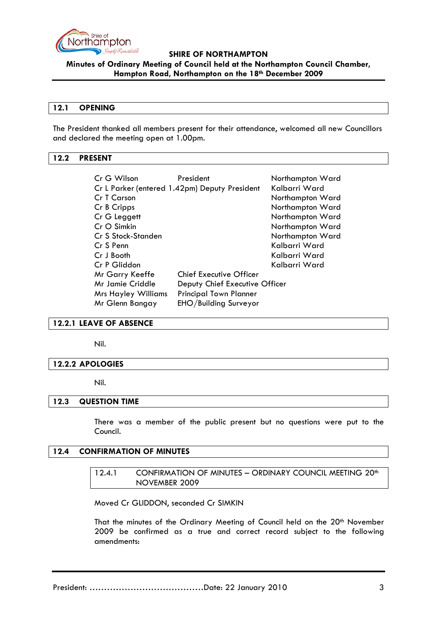

**Minutes of Ordinary Meeting of Council held at the Northampton Council Chamber, Hampton Road, Northampton on the 18th December 2009**

#### **12.1 OPENING**

The President thanked all members present for their attendance, welcomed all new Councillors and declared the meeting open at 1.00pm.

### <span id="page-2-0"></span>**12.2 PRESENT**

| Cr G Wilson                | President                                     | Northampton Ward |
|----------------------------|-----------------------------------------------|------------------|
|                            | Cr L Parker (entered 1.42pm) Deputy President | Kalbarri Ward    |
| Cr T Carson                |                                               | Northampton Ward |
| Cr B Cripps                |                                               | Northampton Ward |
| Cr G Leggett               |                                               | Northampton Ward |
| $CrO$ Simkin               |                                               | Northampton Ward |
| Cr S Stock-Standen         |                                               | Northampton Ward |
| Cr S Penn                  |                                               | Kalbarri Ward    |
| Cr J Booth                 |                                               | Kalbarri Ward    |
| Cr P Gliddon               |                                               | Kalbarri Ward    |
| Mr Garry Keeffe            | <b>Chief Executive Officer</b>                |                  |
| Mr Jamie Criddle           | Deputy Chief Executive Officer                |                  |
| <b>Mrs Hayley Williams</b> | <b>Principal Town Planner</b>                 |                  |
| Mr Glenn Bangay            | EHO/Building Surveyor                         |                  |

#### <span id="page-2-1"></span>**12.2.1 LEAVE OF ABSENCE**

Nil.

#### <span id="page-2-2"></span>**12.2.2 APOLOGIES**

Nil.

#### <span id="page-2-3"></span>**12.3 QUESTION TIME**

There was a member of the public present but no questions were put to the Council.

#### <span id="page-2-5"></span><span id="page-2-4"></span>**12.4 CONFIRMATION OF MINUTES**

### 12.4.1 CONFIRMATION OF MINUTES - ORDINARY COUNCIL MEETING 20<sup>th</sup> NOVEMBER 2009

Moved Cr GLIDDON, seconded Cr SIMKIN

That the minutes of the Ordinary Meeting of Council held on the 20<sup>th</sup> November 2009 be confirmed as a true and correct record subject to the following amendments: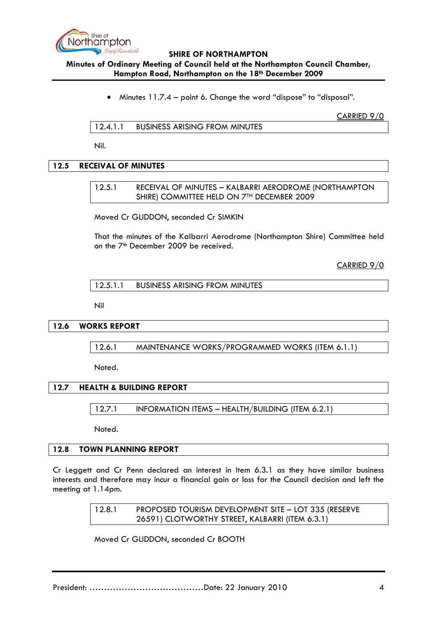

## **Minutes of Ordinary Meeting of Council held at the Northampton Council Chamber, Hampton Road, Northampton on the 18th December 2009**

• Minutes 11.7.4 – point 6. Change the word "dispose" to "disposal".

CARRIED 9/0

12.4.1.1 BUSINESS ARISING FROM MINUTES

Nil.

# <span id="page-3-1"></span><span id="page-3-0"></span>**12.5 RECEIVAL OF MINUTES**

### 12.5.1 RECEIVAL OF MINUTES – KALBARRI AERODROME (NORTHAMPTON SHIRE) COMMITTEE HELD ON 7TH DECEMBER 2009

Moved Cr GLIDDON, seconded Cr SIMKIN

That the minutes of the Kalbarri Aerodrome (Northampton Shire) Committee held on the 7<sup>th</sup> December 2009 be received.

CARRIED 9/0

12.5.1.1 BUSINESS ARISING FROM MINUTES

Nil

**12.6 WORKS REPORT**

12.6.1 MAINTENANCE WORKS/PROGRAMMED WORKS (ITEM 6.1.1)

Noted.

## **12.7 HEALTH & BUILDING REPORT**

12.7.1 INFORMATION ITEMS – HEALTH/BUILDING (ITEM 6.2.1)

Noted.

#### <span id="page-3-2"></span>**12.8 TOWN PLANNING REPORT**

Cr Leggett and Cr Penn declared an interest in Item 6.3.1 as they have similar business interests and therefore may incur a financial gain or loss for the Council decision and left the meeting at 1.14pm.

> 12.8.1 PROPOSED TOURISM DEVELOPMENT SITE – LOT 335 (RESERVE 26591) CLOTWORTHY STREET, KALBARRI (ITEM 6.3.1)

Moved Cr GLIDDON, seconded Cr BOOTH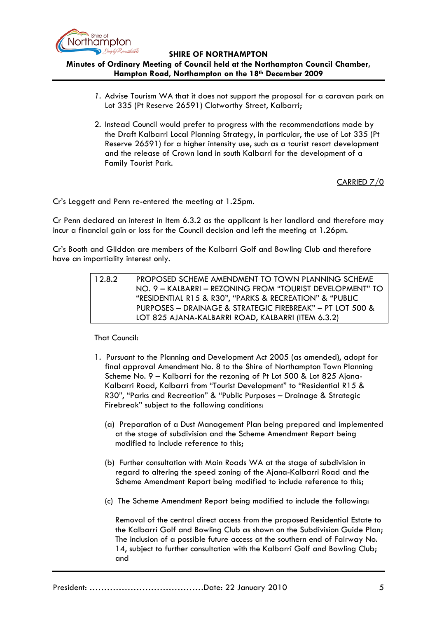

# **Minutes of Ordinary Meeting of Council held at the Northampton Council Chamber, Hampton Road, Northampton on the 18th December 2009**

- *1.* Advise Tourism WA that it does not support the proposal for a caravan park on Lot 335 (Pt Reserve 26591) Clotworthy Street, Kalbarri;
- 2. Instead Council would prefer to progress with the recommendations made by the Draft Kalbarri Local Planning Strategy, in particular, the use of Lot 335 (Pt Reserve 26591) for a higher intensity use, such as a tourist resort development and the release of Crown land in south Kalbarri for the development of a Family Tourist Park.

CARRIED 7/0

Cr's Leggett and Penn re-entered the meeting at 1.25pm.

Cr Penn declared an interest in Item 6.3.2 as the applicant is her landlord and therefore may incur a financial gain or loss for the Council decision and left the meeting at 1.26pm.

Cr's Booth and Gliddon are members of the Kalbarri Golf and Bowling Club and therefore have an impartiality interest only.

| 12.8.2 | PROPOSED SCHEME AMENDMENT TO TOWN PLANNING SCHEME         |
|--------|-----------------------------------------------------------|
|        | NO. 9 – KALBARRI – REZONING FROM "TOURIST DEVELOPMENT" TO |
|        | "RESIDENTIAL R15 & R30", "PARKS & RECREATION" & "PUBLIC   |
|        | PURPOSES - DRAINAGE & STRATEGIC FIREBREAK" - PT LOT 500 & |
|        | LOT 825 AJANA-KALBARRI ROAD, KALBARRI (ITEM 6.3.2)        |

That Council:

- 1. Pursuant to the Planning and Development Act 2005 (as amended), adopt for final approval Amendment No. 8 to the Shire of Northampton Town Planning Scheme No. 9 – Kalbarri for the rezoning of Pt Lot 500 & Lot 825 Ajana-Kalbarri Road, Kalbarri from "Tourist Development" to "Residential R15 & R30", "Parks and Recreation" & "Public Purposes – Drainage & Strategic Firebreak" subject to the following conditions:
	- (a) Preparation of a Dust Management Plan being prepared and implemented at the stage of subdivision and the Scheme Amendment Report being modified to include reference to this;
	- (b) Further consultation with Main Roads WA at the stage of subdivision in regard to altering the speed zoning of the Ajana-Kalbarri Road and the Scheme Amendment Report being modified to include reference to this;
	- (c) The Scheme Amendment Report being modified to include the following:

Removal of the central direct access from the proposed Residential Estate to the Kalbarri Golf and Bowling Club as shown on the Subdivision Guide Plan; The inclusion of a possible future access at the southern end of Fairway No. 14, subject to further consultation with the Kalbarri Golf and Bowling Club; and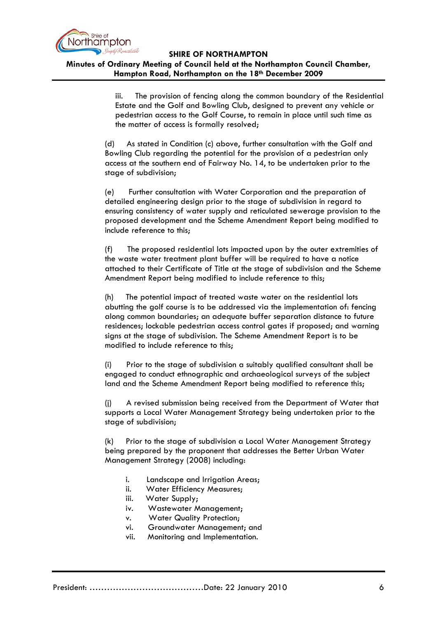

**Minutes of Ordinary Meeting of Council held at the Northampton Council Chamber, Hampton Road, Northampton on the 18th December 2009**

> iii. The provision of fencing along the common boundary of the Residential Estate and the Golf and Bowling Club, designed to prevent any vehicle or pedestrian access to the Golf Course, to remain in place until such time as the matter of access is formally resolved;

(d) As stated in Condition (c) above, further consultation with the Golf and Bowling Club regarding the potential for the provision of a pedestrian only access at the southern end of Fairway No. 14, to be undertaken prior to the stage of subdivision;

(e) Further consultation with Water Corporation and the preparation of detailed engineering design prior to the stage of subdivision in regard to ensuring consistency of water supply and reticulated sewerage provision to the proposed development and the Scheme Amendment Report being modified to include reference to this;

(f) The proposed residential lots impacted upon by the outer extremities of the waste water treatment plant buffer will be required to have a notice attached to their Certificate of Title at the stage of subdivision and the Scheme Amendment Report being modified to include reference to this;

(h) The potential impact of treated waste water on the residential lots abutting the golf course is to be addressed via the implementation of: fencing along common boundaries; an adequate buffer separation distance to future residences; lockable pedestrian access control gates if proposed; and warning signs at the stage of subdivision. The Scheme Amendment Report is to be modified to include reference to this;

(i) Prior to the stage of subdivision a suitably qualified consultant shall be engaged to conduct ethnographic and archaeological surveys of the subject land and the Scheme Amendment Report being modified to reference this;

(j) A revised submission being received from the Department of Water that supports a Local Water Management Strategy being undertaken prior to the stage of subdivision;

(k) Prior to the stage of subdivision a Local Water Management Strategy being prepared by the proponent that addresses the Better Urban Water Management Strategy (2008) including:

- i. Landscape and Irrigation Areas;
- ii. Water Efficiency Measures;
- iii. Water Supply;
- iv. Wastewater Management;
- v. Water Quality Protection;
- vi. Groundwater Management; and
- vii. Monitoring and Implementation.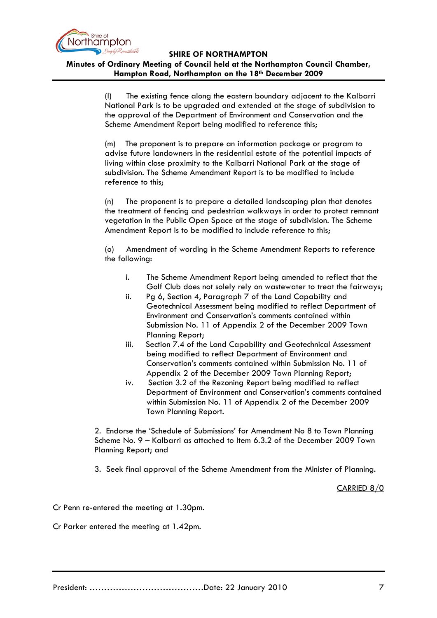

**Minutes of Ordinary Meeting of Council held at the Northampton Council Chamber, Hampton Road, Northampton on the 18th December 2009**

> (l) The existing fence along the eastern boundary adjacent to the Kalbarri National Park is to be upgraded and extended at the stage of subdivision to the approval of the Department of Environment and Conservation and the Scheme Amendment Report being modified to reference this;

(m) The proponent is to prepare an information package or program to advise future landowners in the residential estate of the potential impacts of living within close proximity to the Kalbarri National Park at the stage of subdivision. The Scheme Amendment Report is to be modified to include reference to this;

(n) The proponent is to prepare a detailed landscaping plan that denotes the treatment of fencing and pedestrian walkways in order to protect remnant vegetation in the Public Open Space at the stage of subdivision. The Scheme Amendment Report is to be modified to include reference to this;

(o) Amendment of wording in the Scheme Amendment Reports to reference the following:

- i. The Scheme Amendment Report being amended to reflect that the Golf Club does not solely rely on wastewater to treat the fairways;
- ii. Pg 6, Section 4, Paragraph 7 of the Land Capability and Geotechnical Assessment being modified to reflect Department of Environment and Conservation's comments contained within Submission No. 11 of Appendix 2 of the December 2009 Town Planning Report;
- iii. Section 7.4 of the Land Capability and Geotechnical Assessment being modified to reflect Department of Environment and Conservation's comments contained within Submission No. 11 of Appendix 2 of the December 2009 Town Planning Report;
- iv. Section 3.2 of the Rezoning Report being modified to reflect Department of Environment and Conservation's comments contained within Submission No. 11 of Appendix 2 of the December 2009 Town Planning Report.

2. Endorse the 'Schedule of Submissions' for Amendment No 8 to Town Planning Scheme No. 9 – Kalbarri as attached to Item 6.3.2 of the December 2009 Town Planning Report; and

3. Seek final approval of the Scheme Amendment from the Minister of Planning.

CARRIED 8/0

Cr Penn re-entered the meeting at 1.30pm.

Cr Parker entered the meeting at 1.42pm.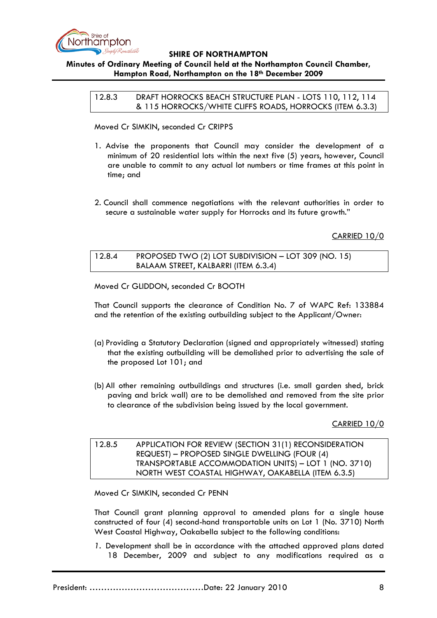

# **Minutes of Ordinary Meeting of Council held at the Northampton Council Chamber, Hampton Road, Northampton on the 18th December 2009**

12.8.3 DRAFT HORROCKS BEACH STRUCTURE PLAN - LOTS 110, 112, 114 & 115 HORROCKS/WHITE CLIFFS ROADS, HORROCKS (ITEM 6.3.3)

Moved Cr SIMKIN, seconded Cr CRIPPS

- 1. Advise the proponents that Council may consider the development of a minimum of 20 residential lots within the next five (5) years, however, Council are unable to commit to any actual lot numbers or time frames at this point in time; and
- 2. Council shall commence negotiations with the relevant authorities in order to secure a sustainable water supply for Horrocks and its future growth."

CARRIED 10/0

12.8.4 PROPOSED TWO (2) LOT SUBDIVISION – LOT 309 (NO. 15) BALAAM STREET, KALBARRI (ITEM 6.3.4)

Moved Cr GLIDDON, seconded Cr BOOTH

That Council supports the clearance of Condition No. 7 of WAPC Ref: 133884 and the retention of the existing outbuilding subject to the Applicant/Owner:

- (a) Providing a Statutory Declaration (signed and appropriately witnessed) stating that the existing outbuilding will be demolished prior to advertising the sale of the proposed Lot 101; and
- (b) All other remaining outbuildings and structures (i.e. small garden shed, brick paving and brick wall) are to be demolished and removed from the site prior to clearance of the subdivision being issued by the local government.

CARRIED 10/0

# 12.8.5 APPLICATION FOR REVIEW (SECTION 31(1) RECONSIDERATION REQUEST) – PROPOSED SINGLE DWELLING (FOUR (4) TRANSPORTABLE ACCOMMODATION UNITS) – LOT 1 (NO. 3710) NORTH WEST COASTAL HIGHWAY, OAKABELLA (ITEM 6.3.5)

Moved Cr SIMKIN, seconded Cr PENN

That Council grant planning approval to amended plans for a single house constructed of four (4) second-hand transportable units on Lot 1 (No. 3710) North West Coastal Highway, Oakabella subject to the following conditions:

*1.* Development shall be in accordance with the attached approved plans dated 18 December, 2009 and subject to any modifications required as a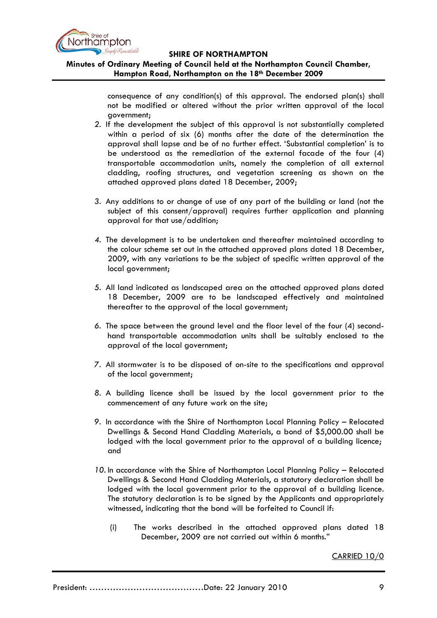

# **Minutes of Ordinary Meeting of Council held at the Northampton Council Chamber, Hampton Road, Northampton on the 18th December 2009**

consequence of any condition(s) of this approval. The endorsed plan(s) shall not be modified or altered without the prior written approval of the local government;

- *2.* If the development the subject of this approval is not substantially completed within a period of six (6) months after the date of the determination the approval shall lapse and be of no further effect. 'Substantial completion' is to be understood as the remediation of the external facade of the four (4) transportable accommodation units, namely the completion of all external cladding, roofing structures, and vegetation screening as shown on the attached approved plans dated 18 December, 2009;
- *3.* Any additions to or change of use of any part of the building or land (not the subject of this consent/approval) requires further application and planning approval for that use/addition;
- *4.* The development is to be undertaken and thereafter maintained according to the colour scheme set out in the attached approved plans dated 18 December, 2009, with any variations to be the subject of specific written approval of the local government;
- *5.* All land indicated as landscaped area on the attached approved plans dated 18 December, 2009 are to be landscaped effectively and maintained thereafter to the approval of the local government;
- *6.* The space between the ground level and the floor level of the four (4) secondhand transportable accommodation units shall be suitably enclosed to the approval of the local government;
- *7.* All stormwater is to be disposed of on-site to the specifications and approval of the local government;
- *8.* A building licence shall be issued by the local government prior to the commencement of any future work on the site;
- *9.* In accordance with the Shire of Northampton Local Planning Policy Relocated Dwellings & Second Hand Cladding Materials, a bond of \$5,000.00 shall be lodged with the local government prior to the approval of a building licence; and
- *10.* In accordance with the Shire of Northampton Local Planning Policy Relocated Dwellings & Second Hand Cladding Materials, a statutory declaration shall be lodged with the local government prior to the approval of a building licence. The statutory declaration is to be signed by the Applicants and appropriately witnessed, indicating that the bond will be forfeited to Council if:
	- (i) The works described in the attached approved plans dated 18 December, 2009 are not carried out within 6 months."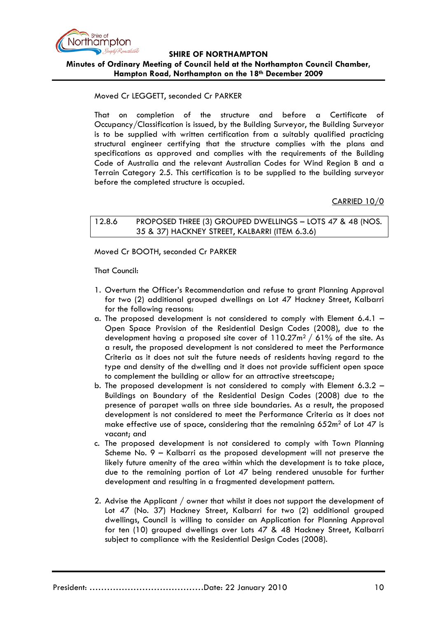

**Minutes of Ordinary Meeting of Council held at the Northampton Council Chamber, Hampton Road, Northampton on the 18th December 2009**

### Moved Cr LEGGETT, seconded Cr PARKER

That on completion of the structure and before a Certificate of Occupancy/Classification is issued, by the Building Surveyor, the Building Surveyor is to be supplied with written certification from a suitably qualified practicing structural engineer certifying that the structure complies with the plans and specifications as approved and complies with the requirements of the Building Code of Australia and the relevant Australian Codes for Wind Region B and a Terrain Category 2.5. This certification is to be supplied to the building surveyor before the completed structure is occupied.

CARRIED 10/0

12.8.6 PROPOSED THREE (3) GROUPED DWELLINGS – LOTS 47 & 48 (NOS. 35 & 37) HACKNEY STREET, KALBARRI (ITEM 6.3.6)

Moved Cr BOOTH, seconded Cr PARKER

That Council:

- 1. Overturn the Officer's Recommendation and refuse to grant Planning Approval for two (2) additional grouped dwellings on Lot 47 Hackney Street, Kalbarri for the following reasons:
- a. The proposed development is not considered to comply with Element 6.4.1  $-$ Open Space Provision of the Residential Design Codes (2008), due to the development having a proposed site cover of  $110.27m^2 / 61\%$  of the site. As a result, the proposed development is not considered to meet the Performance Criteria as it does not suit the future needs of residents having regard to the type and density of the dwelling and it does not provide sufficient open space to complement the building or allow for an attractive streetscape;
- b. The proposed development is not considered to comply with Element 6.3.2 Buildings on Boundary of the Residential Design Codes (2008) due to the presence of parapet walls on three side boundaries. As a result, the proposed development is not considered to meet the Performance Criteria as it does not make effective use of space, considering that the remaining  $652m^2$  of Lot 47 is vacant; and
- c. The proposed development is not considered to comply with Town Planning Scheme No. 9 – Kalbarri as the proposed development will not preserve the likely future amenity of the area within which the development is to take place, due to the remaining portion of Lot 47 being rendered unusable for further development and resulting in a fragmented development pattern.
- 2. Advise the Applicant / owner that whilst it does not support the development of Lot 47 (No. 37) Hackney Street, Kalbarri for two (2) additional grouped dwellings, Council is willing to consider an Application for Planning Approval for ten (10) grouped dwellings over Lots 47 & 48 Hackney Street, Kalbarri subject to compliance with the Residential Design Codes (2008).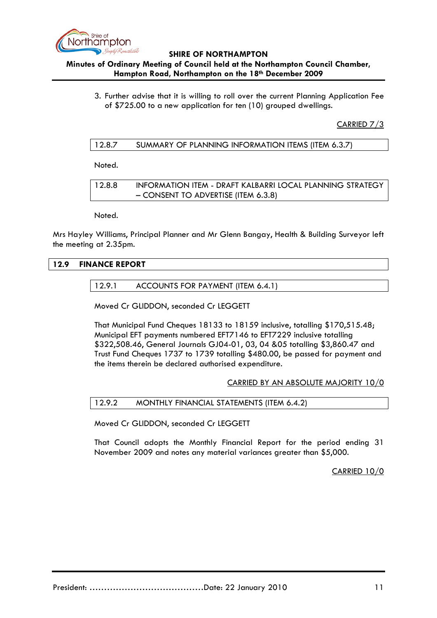

## **Minutes of Ordinary Meeting of Council held at the Northampton Council Chamber, Hampton Road, Northampton on the 18th December 2009**

3. Further advise that it is willing to roll over the current Planning Application Fee of \$725.00 to a new application for ten (10) grouped dwellings.

CARRIED 7/3

| 12.8.7 | SUMMARY OF PLANNING INFORMATION ITEMS (ITEM 6.3.7) |  |
|--------|----------------------------------------------------|--|
|--------|----------------------------------------------------|--|

Noted.

12.8.8 INFORMATION ITEM - DRAFT KALBARRI LOCAL PLANNING STRATEGY – CONSENT TO ADVERTISE (ITEM 6.3.8)

Noted.

Mrs Hayley Williams, Principal Planner and Mr Glenn Bangay, Health & Building Surveyor left the meeting at 2.35pm.

## **12.9 FINANCE REPORT**

12.9.1 ACCOUNTS FOR PAYMENT (ITEM 6.4.1)

Moved Cr GLIDDON, seconded Cr LEGGETT

That Municipal Fund Cheques 18133 to 18159 inclusive, totalling \$170,515.48; Municipal EFT payments numbered EFT7146 to EFT7229 inclusive totalling \$322,508.46, General Journals GJ04-01, 03, 04 &05 totalling \$3,860.47 and Trust Fund Cheques 1737 to 1739 totalling \$480.00, be passed for payment and the items therein be declared authorised expenditure.

#### CARRIED BY AN ABSOLUTE MAJORITY 10/0

## 12.9.2 MONTHLY FINANCIAL STATEMENTS (ITEM 6.4.2)

Moved Cr GLIDDON, seconded Cr LEGGETT

That Council adopts the Monthly Financial Report for the period ending 31 November 2009 and notes any material variances greater than \$5,000.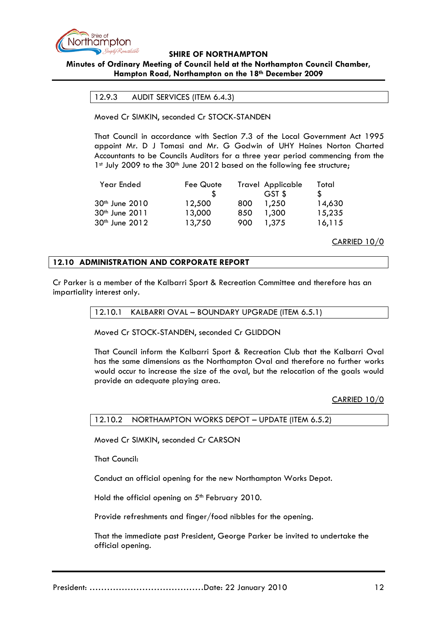

## **Minutes of Ordinary Meeting of Council held at the Northampton Council Chamber, Hampton Road, Northampton on the 18th December 2009**

#### 12.9.3 AUDIT SERVICES (ITEM 6.4.3)

Moved Cr SIMKIN, seconded Cr STOCK-STANDEN

That Council in accordance with Section 7.3 of the Local Government Act 1995 appoint Mr. D J Tomasi and Mr. G Godwin of UHY Haines Norton Charted Accountants to be Councils Auditors for a three year period commencing from the 1st July 2009 to the 30<sup>th</sup> June 2012 based on the following fee structure;

| Year Ended                 | Fee Quote |     | Travel Applicable | Total  |
|----------------------------|-----------|-----|-------------------|--------|
|                            |           |     | GST \$            |        |
| 30 <sup>th</sup> June 2010 | 12,500    | 800 | 1,250             | 14,630 |
| 30th June 2011             | 13,000    | 850 | 1,300             | 15,235 |
| 30 <sup>th</sup> June 2012 | 13,750    | 900 | 1.375             | 16,115 |

CARRIED 10/0

### **12.10 ADMINISTRATION AND CORPORATE REPORT**

Cr Parker is a member of the Kalbarri Sport & Recreation Committee and therefore has an impartiality interest only.

#### 12.10.1 KALBARRI OVAL – BOUNDARY UPGRADE (ITEM 6.5.1)

Moved Cr STOCK-STANDEN, seconded Cr GLIDDON

That Council inform the Kalbarri Sport & Recreation Club that the Kalbarri Oval has the same dimensions as the Northampton Oval and therefore no further works would occur to increase the size of the oval, but the relocation of the goals would provide an adequate playing area.

CARRIED 10/0

### 12.10.2 NORTHAMPTON WORKS DEPOT – UPDATE (ITEM 6.5.2)

Moved Cr SIMKIN, seconded Cr CARSON

That Council:

Conduct an official opening for the new Northampton Works Depot.

Hold the official opening on 5<sup>th</sup> February 2010.

Provide refreshments and finger/food nibbles for the opening.

That the immediate past President, George Parker be invited to undertake the official opening.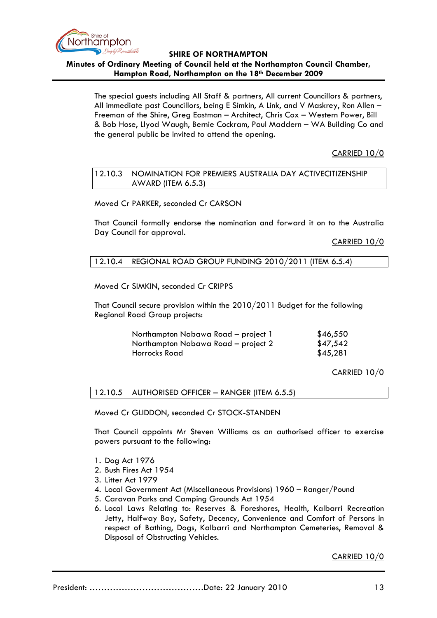

**Minutes of Ordinary Meeting of Council held at the Northampton Council Chamber, Hampton Road, Northampton on the 18th December 2009**

The special guests including All Staff & partners, All current Councillors & partners, All immediate past Councillors, being E Simkin, A Link, and V Maskrey, Ron Allen – Freeman of the Shire, Greg Eastman – Architect, Chris Cox – Western Power, Bill & Bob Hose, Llyod Waugh, Bernie Cockram, Paul Maddern – WA Building Co and the general public be invited to attend the opening.

CARRIED 10/0

#### 12.10.3 NOMINATION FOR PREMIERS AUSTRALIA DAY ACTIVECITIZENSHIP AWARD (ITEM 6.5.3)

Moved Cr PARKER, seconded Cr CARSON

That Council formally endorse the nomination and forward it on to the Australia Day Council for approval.

CARRIED 10/0

### 12.10.4 REGIONAL ROAD GROUP FUNDING 2010/2011 (ITEM 6.5.4)

Moved Cr SIMKIN, seconded Cr CRIPPS

That Council secure provision within the 2010/2011 Budget for the following Regional Road Group projects:

| Northampton Nabawa Road - project 1 | \$46,550 |
|-------------------------------------|----------|
| Northampton Nabawa Road - project 2 | \$47,542 |
| Horrocks Road                       | \$45,281 |

CARRIED 10/0

12.10.5 AUTHORISED OFFICER – RANGER (ITEM 6.5.5)

Moved Cr GLIDDON, seconded Cr STOCK-STANDEN

That Council appoints Mr Steven Williams as an authorised officer to exercise powers pursuant to the following:

- 1. Dog Act 1976
- 2. Bush Fires Act 1954
- 3. Litter Act 1979
- 4. Local Government Act (Miscellaneous Provisions) 1960 Ranger/Pound
- 5. Caravan Parks and Camping Grounds Act 1954
- 6. Local Laws Relating to: Reserves & Foreshores, Health, Kalbarri Recreation Jetty, Halfway Bay, Safety, Decency, Convenience and Comfort of Persons in respect of Bathing, Dogs, Kalbarri and Northampton Cemeteries, Removal & Disposal of Obstructing Vehicles.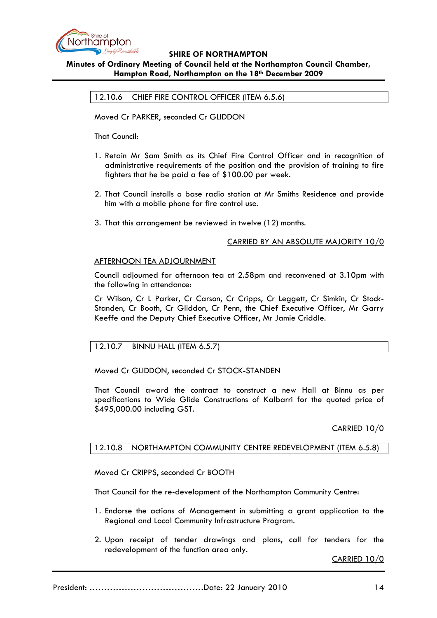

### **Minutes of Ordinary Meeting of Council held at the Northampton Council Chamber, Hampton Road, Northampton on the 18th December 2009**

12.10.6 CHIEF FIRE CONTROL OFFICER (ITEM 6.5.6)

Moved Cr PARKER, seconded Cr GLIDDON

That Council:

- 1. Retain Mr Sam Smith as its Chief Fire Control Officer and in recognition of administrative requirements of the position and the provision of training to fire fighters that he be paid a fee of \$100.00 per week.
- 2. That Council installs a base radio station at Mr Smiths Residence and provide him with a mobile phone for fire control use.
- 3. That this arrangement be reviewed in twelve (12) months.

## CARRIED BY AN ABSOLUTE MAJORITY 10/0

### AFTERNOON TEA ADJOURNMENT

Council adjourned for afternoon tea at 2.58pm and reconvened at 3.10pm with the following in attendance:

Cr Wilson, Cr L Parker, Cr Carson, Cr Cripps, Cr Leggett, Cr Simkin, Cr Stock-Standen, Cr Booth, Cr Gliddon, Cr Penn, the Chief Executive Officer, Mr Garry Keeffe and the Deputy Chief Executive Officer, Mr Jamie Criddle.

## 12.10.7 BINNU HALL (ITEM 6.5.7)

Moved Cr GLIDDON, seconded Cr STOCK-STANDEN

That Council award the contract to construct a new Hall at Binnu as per specifications to Wide Glide Constructions of Kalbarri for the quoted price of \$495,000.00 including GST.

## CARRIED 10/0

## 12.10.8 NORTHAMPTON COMMUNITY CENTRE REDEVELOPMENT (ITEM 6.5.8)

Moved Cr CRIPPS, seconded Cr BOOTH

That Council for the re-development of the Northampton Community Centre:

- 1. Endorse the actions of Management in submitting a grant application to the Regional and Local Community Infrastructure Program.
- 2. Upon receipt of tender drawings and plans, call for tenders for the redevelopment of the function area only.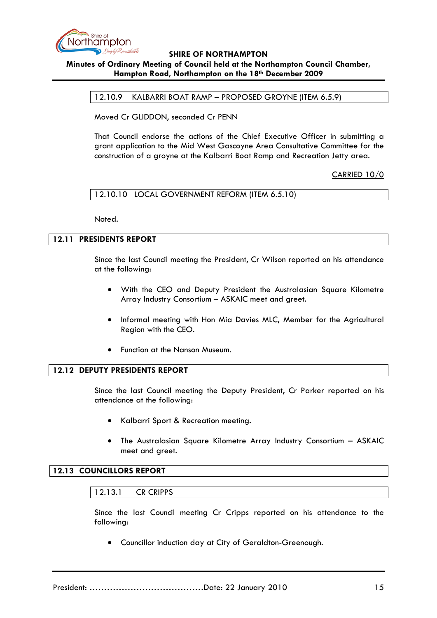

### **Minutes of Ordinary Meeting of Council held at the Northampton Council Chamber, Hampton Road, Northampton on the 18th December 2009**

12.10.9 KALBARRI BOAT RAMP – PROPOSED GROYNE (ITEM 6.5.9)

Moved Cr GLIDDON, seconded Cr PENN

That Council endorse the actions of the Chief Executive Officer in submitting a grant application to the Mid West Gascoyne Area Consultative Committee for the construction of a groyne at the Kalbarri Boat Ramp and Recreation Jetty area.

CARRIED 10/0

### 12.10.10 LOCAL GOVERNMENT REFORM (ITEM 6.5.10)

Noted.

# **12.11 PRESIDENTS REPORT**

Since the last Council meeting the President, Cr Wilson reported on his attendance at the following:

- With the CEO and Deputy President the Australasian Square Kilometre Array Industry Consortium – ASKAIC meet and greet.
- Informal meeting with Hon Mia Davies MLC**,** Member for the Agricultural Region with the CEO.
- Function at the Nanson Museum.

#### **12.12 DEPUTY PRESIDENTS REPORT**

Since the last Council meeting the Deputy President, Cr Parker reported on his attendance at the following:

- Kalbarri Sport & Recreation meeting.
- The Australasian Square Kilometre Array Industry Consortium ASKAIC meet and greet.

# **12.13 COUNCILLORS REPORT**

#### 12.13.1 CR CRIPPS

Since the last Council meeting Cr Cripps reported on his attendance to the following:

• Councillor induction day at City of Geraldton-Greenough.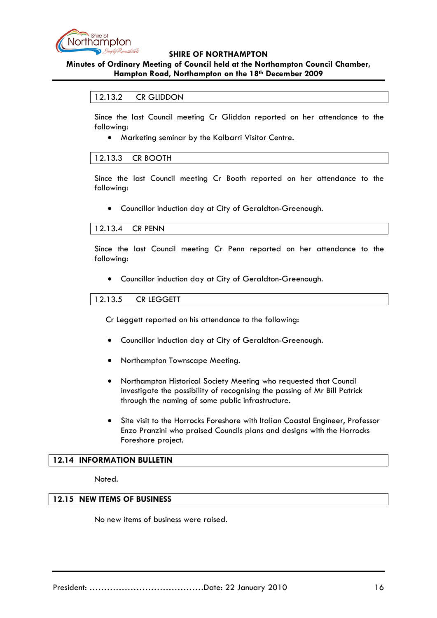

## **Minutes of Ordinary Meeting of Council held at the Northampton Council Chamber, Hampton Road, Northampton on the 18th December 2009**

#### 12.13.2 CR GLIDDON

Since the last Council meeting Cr Gliddon reported on her attendance to the following:

• Marketing seminar by the Kalbarri Visitor Centre.

#### 12.13.3 CR BOOTH

Since the last Council meeting Cr Booth reported on her attendance to the following:

• Councillor induction day at City of Geraldton-Greenough.

#### 12.13.4 CR PENN

Since the last Council meeting Cr Penn reported on her attendance to the following:

• Councillor induction day at City of Geraldton-Greenough.

#### 12.13.5 CR LEGGETT

Cr Leggett reported on his attendance to the following:

- Councillor induction day at City of Geraldton-Greenough.
- Northampton Townscape Meeting.
- Northampton Historical Society Meeting who requested that Council investigate the possibility of recognising the passing of Mr Bill Patrick through the naming of some public infrastructure.
- Site visit to the Horrocks Foreshore with Italian Coastal Engineer, Professor Enzo Pranzini who praised Councils plans and designs with the Horrocks Foreshore project.

#### **12.14 INFORMATION BULLETIN**

Noted.

#### **12.15 NEW ITEMS OF BUSINESS**

No new items of business were raised.